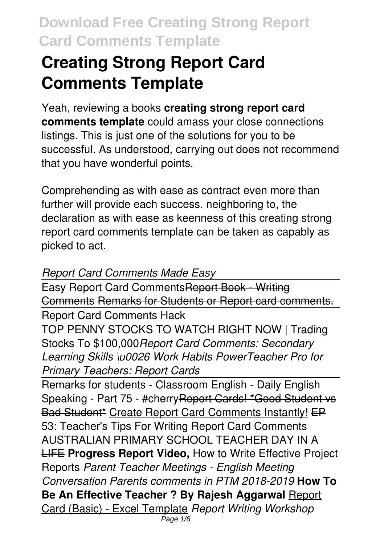# **Creating Strong Report Card Comments Template**

Yeah, reviewing a books **creating strong report card comments template** could amass your close connections listings. This is just one of the solutions for you to be successful. As understood, carrying out does not recommend that you have wonderful points.

Comprehending as with ease as contract even more than further will provide each success. neighboring to, the declaration as with ease as keenness of this creating strong report card comments template can be taken as capably as picked to act.

#### *Report Card Comments Made Easy*

Easy Report Card CommentsReport Book - Writing Comments Remarks for Students or Report card comments. Report Card Comments Hack

TOP PENNY STOCKS TO WATCH RIGHT NOW | Trading Stocks To \$100,000*Report Card Comments: Secondary Learning Skills \u0026 Work Habits PowerTeacher Pro for Primary Teachers: Report Cards*

Remarks for students - Classroom English - Daily English Speaking - Part 75 - #cherry Report Cards! \* Good Student vs Bad Student<sup>\*</sup> Create Report Card Comments Instantly! EP 53: Teacher's Tips For Writing Report Card Comments AUSTRALIAN PRIMARY SCHOOL TEACHER DAY IN A LIFE **Progress Report Video,** How to Write Effective Project Reports *Parent Teacher Meetings - English Meeting Conversation Parents comments in PTM 2018-2019* **How To Be An Effective Teacher ? By Rajesh Aggarwal** Report Card (Basic) - Excel Template *Report Writing Workshop* Page  $1/6$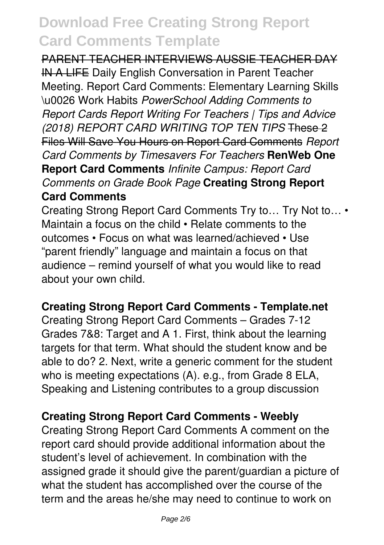#### PARENT TEACHER INTERVIEWS AUSSIE TEACHER DAY

IN A LIFE Daily English Conversation in Parent Teacher Meeting. Report Card Comments: Elementary Learning Skills \u0026 Work Habits *PowerSchool Adding Comments to Report Cards Report Writing For Teachers | Tips and Advice (2018) REPORT CARD WRITING TOP TEN TIPS* These 2 Files Will Save You Hours on Report Card Comments *Report Card Comments by Timesavers For Teachers* **RenWeb One Report Card Comments** *Infinite Campus: Report Card Comments on Grade Book Page* **Creating Strong Report Card Comments**

Creating Strong Report Card Comments Try to… Try Not to… • Maintain a focus on the child • Relate comments to the outcomes • Focus on what was learned/achieved • Use "parent friendly" language and maintain a focus on that audience – remind yourself of what you would like to read about your own child.

#### **Creating Strong Report Card Comments - Template.net**

Creating Strong Report Card Comments – Grades 7-12 Grades 7&8: Target and A 1. First, think about the learning targets for that term. What should the student know and be able to do? 2. Next, write a generic comment for the student who is meeting expectations (A). e.g., from Grade 8 ELA, Speaking and Listening contributes to a group discussion

#### **Creating Strong Report Card Comments - Weebly**

Creating Strong Report Card Comments A comment on the report card should provide additional information about the student's level of achievement. In combination with the assigned grade it should give the parent/guardian a picture of what the student has accomplished over the course of the term and the areas he/she may need to continue to work on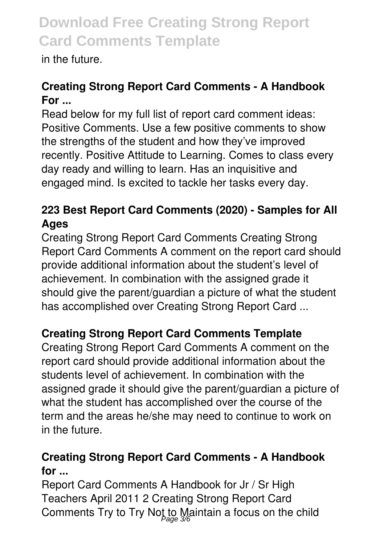in the future.

## **Creating Strong Report Card Comments - A Handbook For ...**

Read below for my full list of report card comment ideas: Positive Comments. Use a few positive comments to show the strengths of the student and how they've improved recently. Positive Attitude to Learning. Comes to class every day ready and willing to learn. Has an inquisitive and engaged mind. Is excited to tackle her tasks every day.

## **223 Best Report Card Comments (2020) - Samples for All Ages**

Creating Strong Report Card Comments Creating Strong Report Card Comments A comment on the report card should provide additional information about the student's level of achievement. In combination with the assigned grade it should give the parent/guardian a picture of what the student has accomplished over Creating Strong Report Card ...

## **Creating Strong Report Card Comments Template**

Creating Strong Report Card Comments A comment on the report card should provide additional information about the students level of achievement. In combination with the assigned grade it should give the parent/guardian a picture of what the student has accomplished over the course of the term and the areas he/she may need to continue to work on in the future.

### **Creating Strong Report Card Comments - A Handbook for ...**

Report Card Comments A Handbook for Jr / Sr High Teachers April 2011 2 Creating Strong Report Card Comments Try to Try Not to Maintain a focus on the child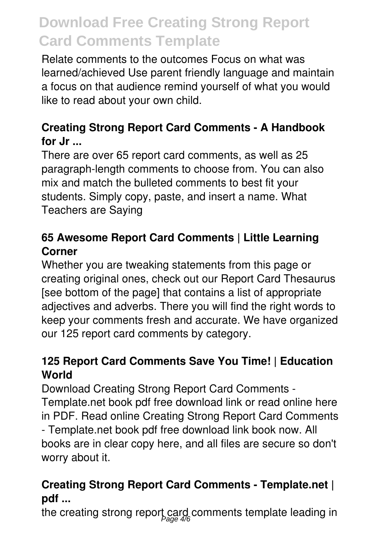Relate comments to the outcomes Focus on what was learned/achieved Use parent friendly language and maintain a focus on that audience remind yourself of what you would like to read about your own child.

## **Creating Strong Report Card Comments - A Handbook for Jr ...**

There are over 65 report card comments, as well as 25 paragraph-length comments to choose from. You can also mix and match the bulleted comments to best fit your students. Simply copy, paste, and insert a name. What Teachers are Saying

## **65 Awesome Report Card Comments | Little Learning Corner**

Whether you are tweaking statements from this page or creating original ones, check out our Report Card Thesaurus [see bottom of the page] that contains a list of appropriate adjectives and adverbs. There you will find the right words to keep your comments fresh and accurate. We have organized our 125 report card comments by category.

### **125 Report Card Comments Save You Time! | Education World**

Download Creating Strong Report Card Comments - Template.net book pdf free download link or read online here in PDF. Read online Creating Strong Report Card Comments - Template.net book pdf free download link book now. All books are in clear copy here, and all files are secure so don't worry about it.

### **Creating Strong Report Card Comments - Template.net | pdf ...**

the creating strong report card comments template leading in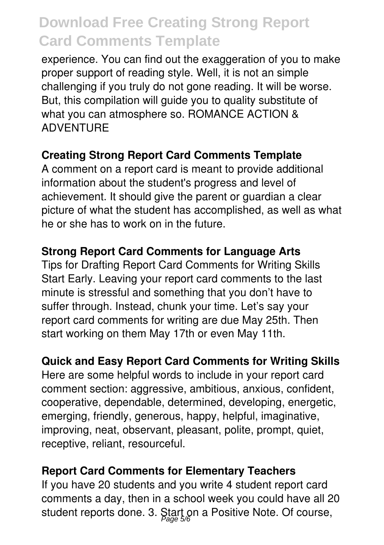experience. You can find out the exaggeration of you to make proper support of reading style. Well, it is not an simple challenging if you truly do not gone reading. It will be worse. But, this compilation will guide you to quality substitute of what you can atmosphere so. ROMANCE ACTION & ADVENTURE

#### **Creating Strong Report Card Comments Template**

A comment on a report card is meant to provide additional information about the student's progress and level of achievement. It should give the parent or guardian a clear picture of what the student has accomplished, as well as what he or she has to work on in the future.

#### **Strong Report Card Comments for Language Arts**

Tips for Drafting Report Card Comments for Writing Skills Start Early. Leaving your report card comments to the last minute is stressful and something that you don't have to suffer through. Instead, chunk your time. Let's say your report card comments for writing are due May 25th. Then start working on them May 17th or even May 11th.

### **Quick and Easy Report Card Comments for Writing Skills**

Here are some helpful words to include in your report card comment section: aggressive, ambitious, anxious, confident, cooperative, dependable, determined, developing, energetic, emerging, friendly, generous, happy, helpful, imaginative, improving, neat, observant, pleasant, polite, prompt, quiet, receptive, reliant, resourceful.

#### **Report Card Comments for Elementary Teachers**

If you have 20 students and you write 4 student report card comments a day, then in a school week you could have all 20 student reports done. 3. Start on a Positive Note. Of course,